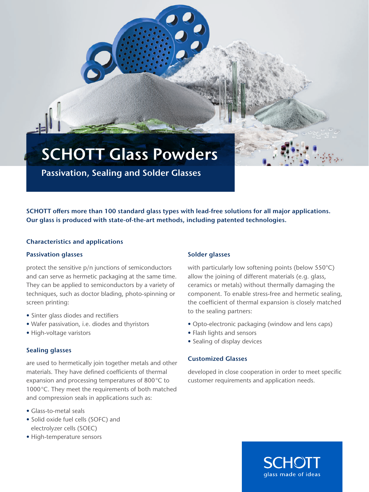SCHOTT Glass Powders

Passivation, Sealing and Solder Glasses

SCHOTT offers more than 100 standard glass types with lead-free solutions for all major applications. Our glass is produced with state-of-the-art methods, including patented technologies.

#### Characteristics and applications

#### Passivation glasses

protect the sensitive p/n junctions of semiconductors and can serve as hermetic packaging at the same time. They can be applied to semiconductors by a variety of techniques, such as doctor blading, photo-spinning or screen printing:

- Sinter glass diodes and rectifiers
- Wafer passivation, i.e. diodes and thyristors
- High-voltage varistors

## Sealing glasses

are used to hermetically join together metals and other materials. They have defined coefficients of thermal expansion and processing temperatures of 800°C to 1000°C. They meet the requirements of both matched and compression seals in applications such as:

- Glass-to-metal seals
- Solid oxide fuel cells (SOFC) and electrolyzer cells (SOEC)
- High-temperature sensors

## Solder glasses

with particularly low softening points (below 550°C) allow the joining of different materials (e.g. glass, ceramics or metals) without thermally damaging the component. To enable stress-free and hermetic sealing, the coefficient of thermal expansion is closely matched to the sealing partners:

- Opto-electronic packaging (window and lens caps)
- Flash lights and sensors
- Sealing of display devices

#### Customized Glasses

developed in close cooperation in order to meet specific customer requirements and application needs.